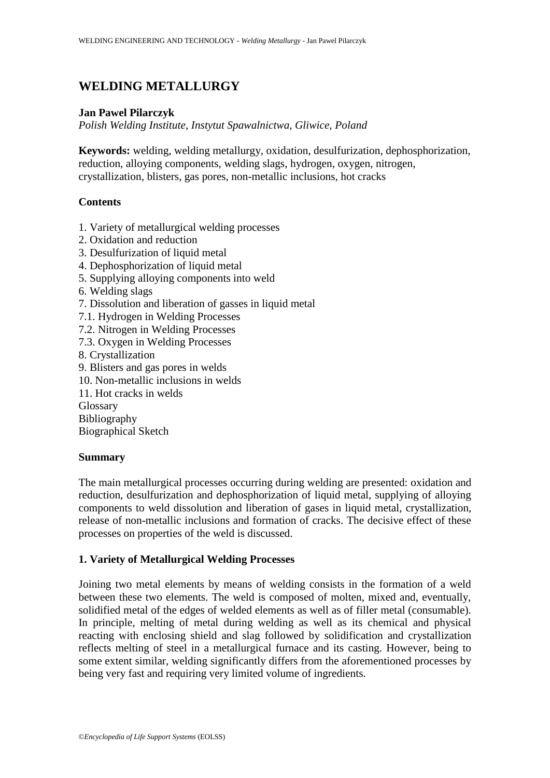# **WELDING METALLURGY**

#### **Jan Pawel Pilarczyk**

*Polish Welding Institute, Instytut Spawalnictwa, Gliwice, Poland*

**Keywords:** welding, welding metallurgy, oxidation, desulfurization, dephosphorization, reduction, alloying components, welding slags, hydrogen, oxygen, nitrogen, crystallization, blisters, gas pores, non-metallic inclusions, hot cracks

### **Contents**

- 1. Variety of metallurgical welding processes
- 2. Oxidation and reduction
- 3. Desulfurization of liquid metal
- 4. Dephosphorization of liquid metal
- 5. Supplying alloying components into weld
- 6. Welding slags
- 7. Dissolution and liberation of gasses in liquid metal
- 7.1. Hydrogen in Welding Processes
- 7.2. Nitrogen in Welding Processes
- 7.3. Oxygen in Welding Processes
- 8. Crystallization
- 9. Blisters and gas pores in welds
- 10. Non-metallic inclusions in welds
- 11. Hot cracks in welds

Glossary

Bibliography

Biographical Sketch

#### **Summary**

The main metallurgical processes occurring during welding are presented: oxidation and reduction, desulfurization and dephosphorization of liquid metal, supplying of alloying components to weld dissolution and liberation of gases in liquid metal, crystallization, release of non-metallic inclusions and formation of cracks. The decisive effect of these processes on properties of the weld is discussed.

#### **1. Variety of Metallurgical Welding Processes**

Joining two metal elements by means of welding consists in the formation of a weld between these two elements. The weld is composed of molten, mixed and, eventually, solidified metal of the edges of welded elements as well as of filler metal (consumable). In principle, melting of metal during welding as well as its chemical and physical reacting with enclosing shield and slag followed by solidification and crystallization reflects melting of steel in a metallurgical furnace and its casting. However, being to some extent similar, welding significantly differs from the aforementioned processes by being very fast and requiring very limited volume of ingredients.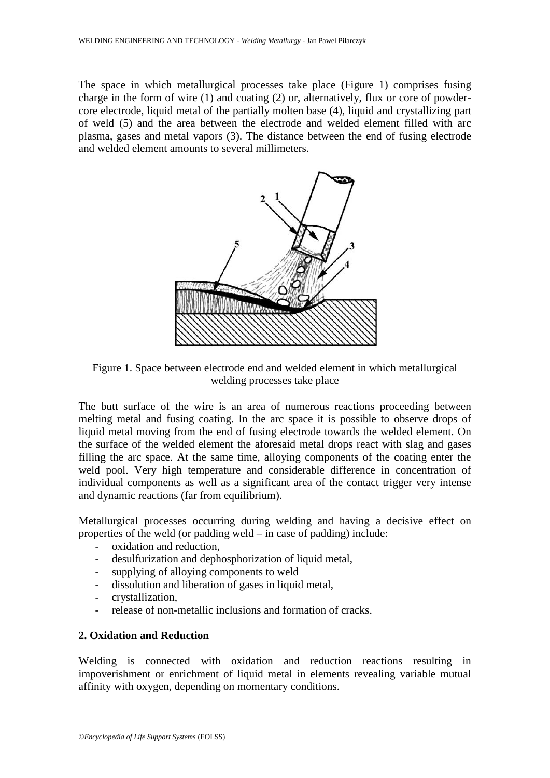The space in which metallurgical processes take place (Figure 1) comprises fusing charge in the form of wire (1) and coating (2) or, alternatively, flux or core of powdercore electrode, liquid metal of the partially molten base (4), liquid and crystallizing part of weld (5) and the area between the electrode and welded element filled with arc plasma, gases and metal vapors (3). The distance between the end of fusing electrode and welded element amounts to several millimeters.



Figure 1. Space between electrode end and welded element in which metallurgical welding processes take place

The butt surface of the wire is an area of numerous reactions proceeding between melting metal and fusing coating. In the arc space it is possible to observe drops of liquid metal moving from the end of fusing electrode towards the welded element. On the surface of the welded element the aforesaid metal drops react with slag and gases filling the arc space. At the same time, alloying components of the coating enter the weld pool. Very high temperature and considerable difference in concentration of individual components as well as a significant area of the contact trigger very intense and dynamic reactions (far from equilibrium).

Metallurgical processes occurring during welding and having a decisive effect on properties of the weld (or padding weld – in case of padding) include:

- oxidation and reduction,
- desulfurization and dephosphorization of liquid metal,
- supplying of alloying components to weld
- dissolution and liberation of gases in liquid metal,
- crystallization.
- release of non-metallic inclusions and formation of cracks.

### **2. Oxidation and Reduction**

Welding is connected with oxidation and reduction reactions resulting in impoverishment or enrichment of liquid metal in elements revealing variable mutual affinity with oxygen, depending on momentary conditions.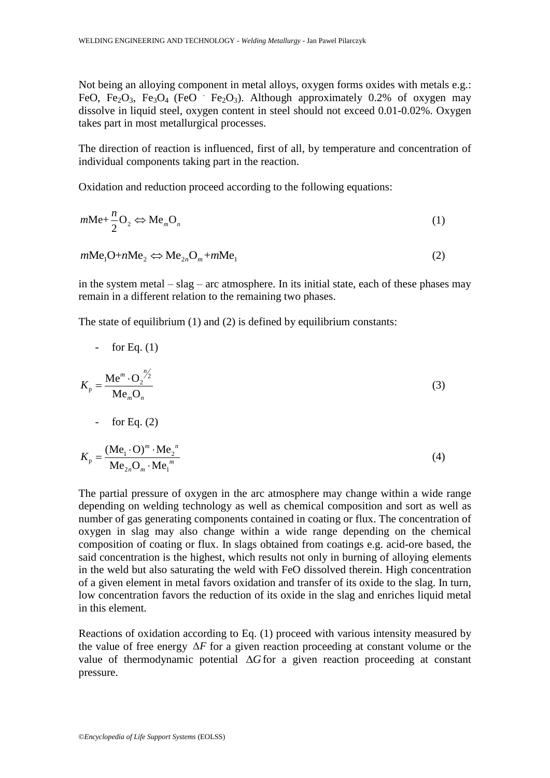Not being an alloying component in metal alloys, oxygen forms oxides with metals e.g.: FeO, Fe<sub>2</sub>O<sub>3</sub>, Fe<sub>3</sub>O<sub>4</sub> (FeO Fe<sub>2</sub>O<sub>3</sub>). Although approximately 0.2% of oxygen may dissolve in liquid steel, oxygen content in steel should not exceed 0.01-0.02%. Oxygen takes part in most metallurgical processes.

The direction of reaction is influenced, first of all, by temperature and concentration of individual components taking part in the reaction.

Oxidation and reduction proceed according to the following equations:

$$
m\text{Me} + \frac{n}{2}\text{O}_2 \Leftrightarrow \text{Me}_m\text{O}_n \tag{1}
$$

$$
mMe1O+nMe2 \Longleftrightarrow Me2nOm+mMe1
$$
 (2)

in the system metal – slag – arc atmosphere. In its initial state, each of these phases may remain in a different relation to the remaining two phases.

The state of equilibrium (1) and (2) is defined by equilibrium constants:

For Eq. (1)  
\n
$$
K_{\rm p} = \frac{\text{Me}^m \cdot \text{O}_2^{\frac{n}{2}}}{\text{Me}_m \text{O}_n}
$$
\nFor Eq. (2)  
\n
$$
K_{\rm p} = \frac{(\text{Me}_1 \cdot \text{O})^m \cdot \text{Me}_2^{\frac{n}{2}}}{\text{Me}_{2n} \text{O}_m \cdot \text{Me}_1^{\frac{m}{2}}}
$$
\n(4)

The partial pressure of oxygen in the arc atmosphere may change within a wide range depending on welding technology as well as chemical composition and sort as well as number of gas generating components contained in coating or flux. The concentration of oxygen in slag may also change within a wide range depending on the chemical composition of coating or flux. In slags obtained from coatings e.g. acid-ore based, the said concentration is the highest, which results not only in burning of alloying elements in the weld but also saturating the weld with FeO dissolved therein. High concentration of a given element in metal favors oxidation and transfer of its oxide to the slag. In turn, low concentration favors the reduction of its oxide in the slag and enriches liquid metal in this element.

Reactions of oxidation according to Eq. (1) proceed with various intensity measured by the value of free energy  $\Delta F$  for a given reaction proceeding at constant volume or the value of thermodynamic potential  $\Delta G$  for a given reaction proceeding at constant pressure.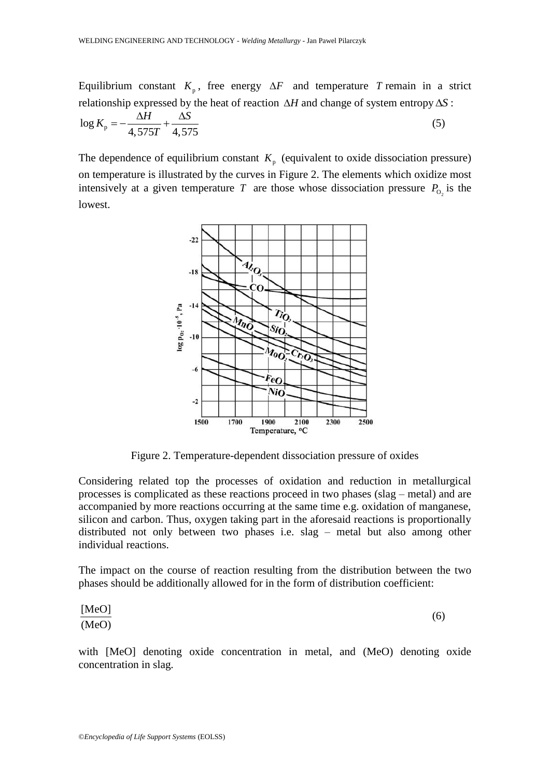Equilibrium constant  $K_p$ , free energy  $\Delta F$  and temperature T remain in a strict

relationship expressed by the heat of reaction 
$$
\Delta H
$$
 and change of system entropy  $\Delta S$ :  
\n
$$
\log K_{\text{p}} = -\frac{\Delta H}{4,575T} + \frac{\Delta S}{4,575}
$$
\n(5)

The dependence of equilibrium constant  $K_p$  (equivalent to oxide dissociation pressure) on temperature is illustrated by the curves in Figure 2. The elements which oxidize most intensively at a given temperature T are those whose dissociation pressure  $P_{O_2}$  is the lowest.



Figure 2. Temperature-dependent dissociation pressure of oxides

Considering related top the processes of oxidation and reduction in metallurgical processes is complicated as these reactions proceed in two phases (slag – metal) and are accompanied by more reactions occurring at the same time e.g. oxidation of manganese, silicon and carbon. Thus, oxygen taking part in the aforesaid reactions is proportionally distributed not only between two phases i.e. slag – metal but also among other individual reactions.

The impact on the course of reaction resulting from the distribution between the two phases should be additionally allowed for in the form of distribution coefficient:

$$
\frac{[\text{MeO}]}{(\text{MeO})} \tag{6}
$$

with [MeO] denoting oxide concentration in metal, and (MeO) denoting oxide concentration in slag.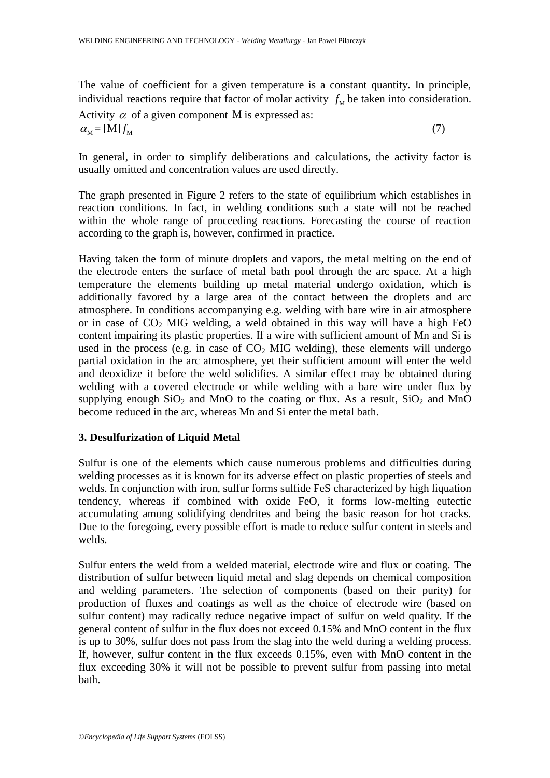The value of coefficient for a given temperature is a constant quantity. In principle, individual reactions require that factor of molar activity  $f_M$  be taken into consideration.

Activity  $\alpha$  of a given component M is expressed as:  $\alpha_{\rm M} =$  [M]  $f_{\rm M}$ (7)

In general, in order to simplify deliberations and calculations, the activity factor is usually omitted and concentration values are used directly.

The graph presented in Figure 2 refers to the state of equilibrium which establishes in reaction conditions. In fact, in welding conditions such a state will not be reached within the whole range of proceeding reactions. Forecasting the course of reaction according to the graph is, however, confirmed in practice.

Having taken the form of minute droplets and vapors, the metal melting on the end of the electrode enters the surface of metal bath pool through the arc space. At a high temperature the elements building up metal material undergo oxidation, which is additionally favored by a large area of the contact between the droplets and arc atmosphere. In conditions accompanying e.g. welding with bare wire in air atmosphere or in case of  $CO<sub>2</sub>$  MIG welding, a weld obtained in this way will have a high FeO content impairing its plastic properties. If a wire with sufficient amount of Mn and Si is used in the process (e.g. in case of  $CO<sub>2</sub>$  MIG welding), these elements will undergo partial oxidation in the arc atmosphere, yet their sufficient amount will enter the weld and deoxidize it before the weld solidifies. A similar effect may be obtained during welding with a covered electrode or while welding with a bare wire under flux by supplying enough  $SiO_2$  and MnO to the coating or flux. As a result,  $SiO_2$  and MnO become reduced in the arc, whereas Mn and Si enter the metal bath.

## **3. Desulfurization of Liquid Metal**

Sulfur is one of the elements which cause numerous problems and difficulties during welding processes as it is known for its adverse effect on plastic properties of steels and welds. In conjunction with iron, sulfur forms sulfide FeS characterized by high liquation tendency, whereas if combined with oxide FeO, it forms low-melting eutectic accumulating among solidifying dendrites and being the basic reason for hot cracks. Due to the foregoing, every possible effort is made to reduce sulfur content in steels and welds.

Sulfur enters the weld from a welded material, electrode wire and flux or coating. The distribution of sulfur between liquid metal and slag depends on chemical composition and welding parameters. The selection of components (based on their purity) for production of fluxes and coatings as well as the choice of electrode wire (based on sulfur content) may radically reduce negative impact of sulfur on weld quality. If the general content of sulfur in the flux does not exceed 0.15% and MnO content in the flux is up to 30%, sulfur does not pass from the slag into the weld during a welding process. If, however, sulfur content in the flux exceeds 0.15%, even with MnO content in the flux exceeding 30% it will not be possible to prevent sulfur from passing into metal bath.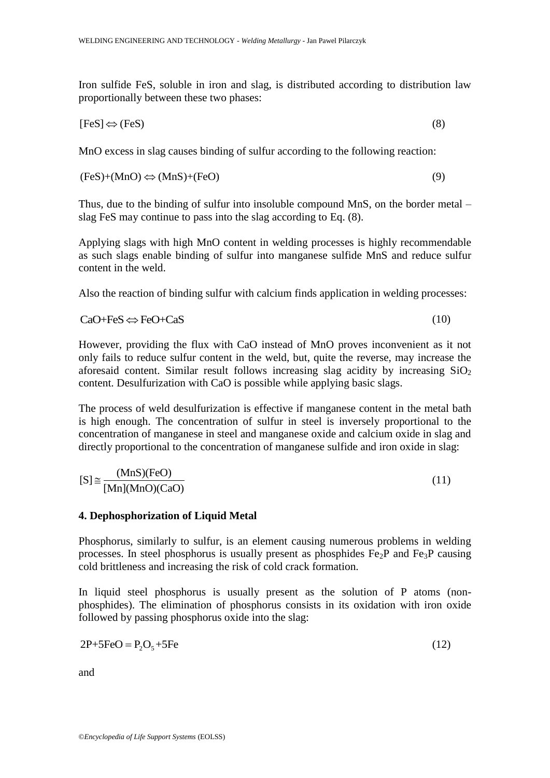Iron sulfide FeS, soluble in iron and slag, is distributed according to distribution law proportionally between these two phases:

$$
[FeS] \Leftrightarrow (FeS) \tag{8}
$$

MnO excess in slag causes binding of sulfur according to the following reaction:

$$
(FeS)+(MnO) \Leftrightarrow (MnS)+(FeO)
$$
\n(9)

Thus, due to the binding of sulfur into insoluble compound MnS, on the border metal – slag FeS may continue to pass into the slag according to Eq. (8).

Applying slags with high MnO content in welding processes is highly recommendable as such slags enable binding of sulfur into manganese sulfide MnS and reduce sulfur content in the weld.

Also the reaction of binding sulfur with calcium finds application in welding processes:

(10)

$$
CaO + FeS \Leftrightarrow FeO + CaS
$$

However, providing the flux with CaO instead of MnO proves inconvenient as it not only fails to reduce sulfur content in the weld, but, quite the reverse, may increase the aforesaid content. Similar result follows increasing slag acidity by increasing  $SiO<sub>2</sub>$ content. Desulfurization with CaO is possible while applying basic slags.

The process of weld desulfurization is effective if manganese content in the metal bath is high enough. The concentration of sulfur in steel is inversely proportional to the concentration of manganese in steel and manganese oxide and calcium oxide in slag and directly proportional to the concentration of manganese sulfide and iron oxide in slag:

$$
[S] \cong \frac{(MnS)(FeO)}{[Mn](MnO)(CaO)}
$$
\n(11)

#### **4. Dephosphorization of Liquid Metal**

Phosphorus, similarly to sulfur, is an element causing numerous problems in welding processes. In steel phosphorus is usually present as phosphides  $Fe<sub>2</sub>P$  and  $Fe<sub>3</sub>P$  causing cold brittleness and increasing the risk of cold crack formation.

In liquid steel phosphorus is usually present as the solution of P atoms (nonphosphides). The elimination of phosphorus consists in its oxidation with iron oxide followed by passing phosphorus oxide into the slag:

$$
2P + 5FeO = P2O5 + 5Fe
$$
 (12)

and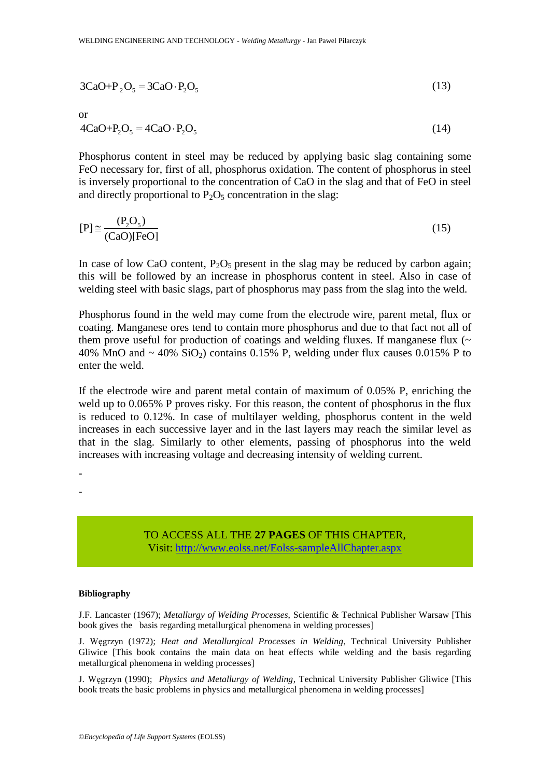$$
3CaO + P_2O_5 = 3CaO \cdot P_2O_5 \tag{13}
$$

or

$$
4CaO + P2O5 = 4CaO \cdot P2O5
$$
\n(14)

Phosphorus content in steel may be reduced by applying basic slag containing some FeO necessary for, first of all, phosphorus oxidation. The content of phosphorus in steel is inversely proportional to the concentration of CaO in the slag and that of FeO in steel and directly proportional to  $P_2O_5$  concentration in the slag:

$$
[P] \cong \frac{(P_2O_5)}{(CaO)[FeO]}
$$
 (15)

In case of low CaO content,  $P_2O_5$  present in the slag may be reduced by carbon again; this will be followed by an increase in phosphorus content in steel. Also in case of welding steel with basic slags, part of phosphorus may pass from the slag into the weld.

Phosphorus found in the weld may come from the electrode wire, parent metal, flux or coating. Manganese ores tend to contain more phosphorus and due to that fact not all of them prove useful for production of coatings and welding fluxes. If manganese flux  $(\sim$ 40% MnO and  $\sim$  40% SiO<sub>2</sub>) contains 0.15% P, welding under flux causes 0.015% P to enter the weld.

If the electrode wire and parent metal contain of maximum of 0.05% P, enriching the weld up to 0.065% P proves risky. For this reason, the content of phosphorus in the flux is reduced to 0.12%. In case of multilayer welding, phosphorus content in the weld increases in each successive layer and in the last layers may reach the similar level as that in the slag. Similarly to other elements, passing of phosphorus into the weld increases with increasing voltage and decreasing intensity of welding current.

-

-

TO ACCESS ALL THE **27 PAGES** OF THIS CHAPTER, Visit[: http://www.eolss.net/Eolss-sampleAllChapter.aspx](https://www.eolss.net/ebooklib/sc_cart.aspx?File=E6-171-19a)

#### **Bibliography**

J.F. Lancaster (1967); *Metallurgy of Welding Processes*, Scientific & Technical Publisher Warsaw [This book gives the basis regarding metallurgical phenomena in welding processes]

J. Węgrzyn (1972); *Heat and Metallurgical Processes in Welding*, Technical University Publisher Gliwice [This book contains the main data on heat effects while welding and the basis regarding metallurgical phenomena in welding processes]

J. Węgrzyn (1990); *Physics and Metallurgy of Welding*, Technical University Publisher Gliwice [This book treats the basic problems in physics and metallurgical phenomena in welding processes]